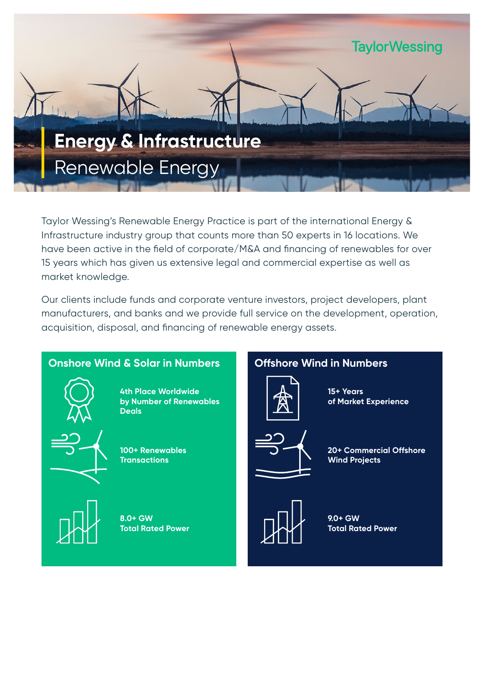

Taylor Wessing's Renewable Energy Practice is part of the international Energy & Infrastructure industry group that counts more than 50 experts in 16 locations. We have been active in the field of corporate/M&A and financing of renewables for over 15 years which has given us extensive legal and commercial expertise as well as market knowledge.

Our clients include funds and corporate venture investors, project developers, plant manufacturers, and banks and we provide full service on the development, operation, acquisition, disposal, and financing of renewable energy assets.

# **Onshore Wind & Solar in Numbers Offshore Wind in Numbers**



**4th Place Worldwide by Number of Renewables Deals**



**100+ Renewables Transactions**

**8.0+ GW Total Rated Power**

**15+ Years** 



**20+ Commercial Offshore Wind Projects**

**of Market Experience**



**9.0+ GW Total Rated Power**